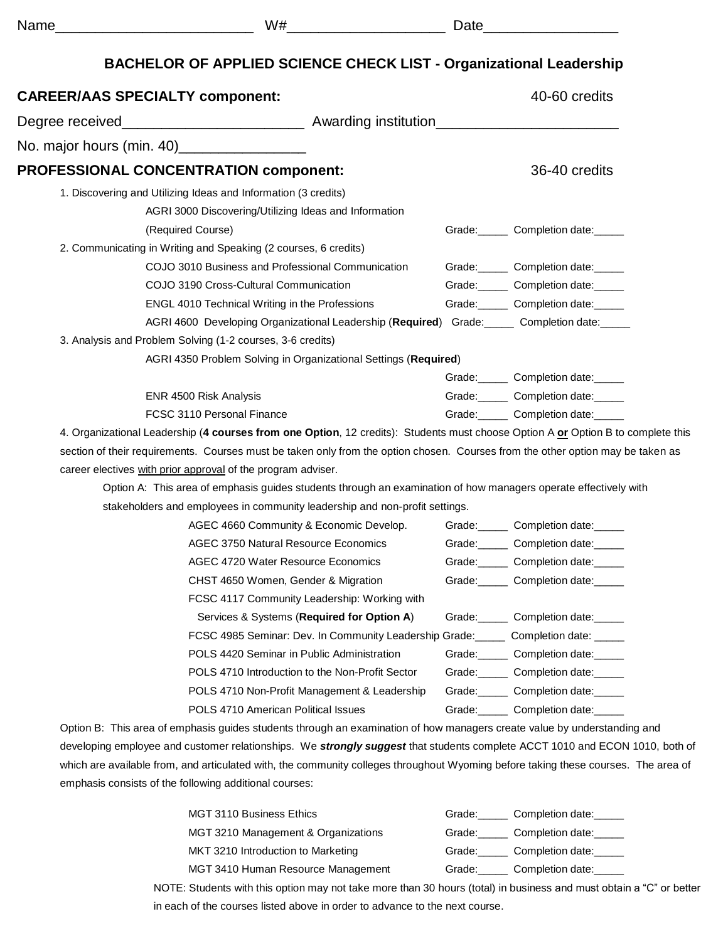| г.<br>÷<br>×<br>٧ |  |
|-------------------|--|
|-------------------|--|

Name\_\_\_\_\_\_\_\_\_\_\_\_\_\_\_\_\_\_\_\_\_\_\_\_\_ W#\_\_\_\_\_\_\_\_\_\_\_\_\_\_\_\_\_\_\_\_ Date\_\_\_\_\_\_\_\_\_\_\_\_\_\_\_\_\_

# **BACHELOR OF APPLIED SCIENCE CHECK LIST - Organizational Leadership**

| No. major hours (min. 40)__________________                                                                                     |                                                                                                                                  |        |                                                    |
|---------------------------------------------------------------------------------------------------------------------------------|----------------------------------------------------------------------------------------------------------------------------------|--------|----------------------------------------------------|
| <b>PROFESSIONAL CONCENTRATION component:</b>                                                                                    |                                                                                                                                  |        | 36-40 credits                                      |
| 1. Discovering and Utilizing Ideas and Information (3 credits)                                                                  |                                                                                                                                  |        |                                                    |
|                                                                                                                                 | AGRI 3000 Discovering/Utilizing Ideas and Information                                                                            |        |                                                    |
| (Required Course)                                                                                                               |                                                                                                                                  |        | Grade: Completion date:                            |
| 2. Communicating in Writing and Speaking (2 courses, 6 credits)                                                                 |                                                                                                                                  |        |                                                    |
|                                                                                                                                 | COJO 3010 Business and Professional Communication                                                                                |        | Grade: Completion date:                            |
|                                                                                                                                 | COJO 3190 Cross-Cultural Communication                                                                                           |        | Grade: Completion date:                            |
|                                                                                                                                 | ENGL 4010 Technical Writing in the Professions                                                                                   |        | Grade: Completion date:                            |
|                                                                                                                                 | AGRI 4600 Developing Organizational Leadership (Required) Grade: Completion date:                                                |        |                                                    |
| 3. Analysis and Problem Solving (1-2 courses, 3-6 credits)                                                                      |                                                                                                                                  |        |                                                    |
|                                                                                                                                 | AGRI 4350 Problem Solving in Organizational Settings (Required)                                                                  |        |                                                    |
|                                                                                                                                 |                                                                                                                                  |        | Grade: Completion date:                            |
| ENR 4500 Risk Analysis                                                                                                          |                                                                                                                                  |        | Grade: Completion date:                            |
| FCSC 3110 Personal Finance                                                                                                      |                                                                                                                                  |        | Grade: Completion date:                            |
|                                                                                                                                 | 4. Organizational Leadership (4 courses from one Option, 12 credits): Students must choose Option A or Option B to complete this |        |                                                    |
|                                                                                                                                 |                                                                                                                                  |        |                                                    |
| section of their requirements. Courses must be taken only from the option chosen. Courses from the other option may be taken as |                                                                                                                                  |        |                                                    |
| career electives with prior approval of the program adviser.                                                                    |                                                                                                                                  |        |                                                    |
|                                                                                                                                 | Option A: This area of emphasis guides students through an examination of how managers operate effectively with                  |        |                                                    |
|                                                                                                                                 | stakeholders and employees in community leadership and non-profit settings.                                                      |        |                                                    |
|                                                                                                                                 | AGEC 4660 Community & Economic Develop.                                                                                          |        | Grade: Completion date:                            |
|                                                                                                                                 | <b>AGEC 3750 Natural Resource Economics</b>                                                                                      |        | Grade: Completion date:                            |
|                                                                                                                                 | AGEC 4720 Water Resource Economics                                                                                               |        |                                                    |
|                                                                                                                                 | CHST 4650 Women, Gender & Migration                                                                                              |        | Grade: Completion date:<br>Grade: Completion date: |
|                                                                                                                                 | FCSC 4117 Community Leadership: Working with                                                                                     |        |                                                    |
|                                                                                                                                 | Services & Systems (Required for Option A)                                                                                       |        | Grade: Completion date:                            |
|                                                                                                                                 | FCSC 4985 Seminar: Dev. In Community Leadership Grade: ______ Completion date: _____                                             |        |                                                    |
|                                                                                                                                 | POLS 4420 Seminar in Public Administration                                                                                       | Grade: | Completion date:                                   |
|                                                                                                                                 | POLS 4710 Introduction to the Non-Profit Sector                                                                                  |        | Grade: Completion date:                            |
|                                                                                                                                 | POLS 4710 Non-Profit Management & Leadership                                                                                     |        | Grade: Completion date:                            |

which are available from, and articulated with, the community colleges throughout Wyoming before taking these courses. The area of emphasis consists of the following additional courses:

| MGT 3110 Business Ethics            | Completion date:<br>Grade: |  |
|-------------------------------------|----------------------------|--|
| MGT 3210 Management & Organizations | Completion date:<br>Grade: |  |
| MKT 3210 Introduction to Marketing  | Completion date:<br>Grade: |  |
| MGT 3410 Human Resource Management  | Completion date:<br>Grade: |  |
|                                     |                            |  |

NOTE: Students with this option may not take more than 30 hours (total) in business and must obtain a "C" or better in each of the courses listed above in order to advance to the next course.